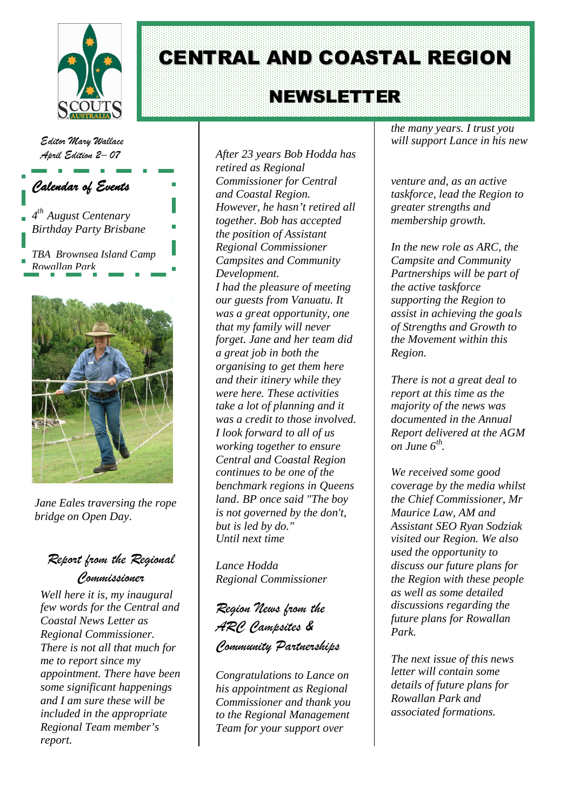

# CENTRAL AND COASTAL REGION

## NEWS LETTER

*Editor Mary Wallace April Edition 2– 07*



*Jane Eales traversing the rope bridge on Open Day*.

## *Report from the Regional Commissioner*

*Well here it is, my inaugural few words for the Central and Coastal News Letter as Regional Commissioner. There is not all that much for me to report since my appointment. There have been some significant happenings and I am sure these will be included in the appropriate Regional Team member's report.*

*After 23 years Bob Hodda has retired as Regional Commissioner for Central and Coastal Region. However, he hasn't retired all together. Bob has accepted the position of Assistant Regional Commissioner Campsites and Community Development. I had the pleasure of meeting our guests from Vanuatu. It was a great opportunity, one that my family will never forget. Jane and her team did a great job in both the organising to get them here and their itinery while they were here. These activities take a lot of planning and it was a credit to those involved. I look forward to all of us working together to ensure Central and Coastal Region continues to be one of the benchmark regions in Queens land. BP once said "The boy is not governed by the don't, but is led by do." Until next time*

*Lance Hodda Regional Commissioner*

*Region News from the ARC Campsites & Community Partnerships*

*Congratulations to Lance on his appointment as Regional Commissioner and thank you to the Regional Management Team for your support over*

*the many years. I trust you will support Lance in his new*

*venture and, as an active taskforce, lead the Region to greater strengths and membership growth.*

*In the new role as ARC, the Campsite and Community Partnerships will be part of the active taskforce supporting the Region to assist in achieving the goals of Strengths and Growth to the Movement within this Region.*

*There is not a great deal to report at this time as the majority of the news was documented in the Annual Report delivered at the AGM on June 6th .*

*We received some good coverage by the media whilst the Chief Commissioner, Mr Maurice Law, AM and Assistant SEO Ryan Sodziak visited our Region. We also used the opportunity to discuss our future plans for the Region with these people as well as some detailed discussions regarding the future plans for Rowallan Park.*

*The next issue of this news letter will contain some details of future plans for Rowallan Park and associated formations.*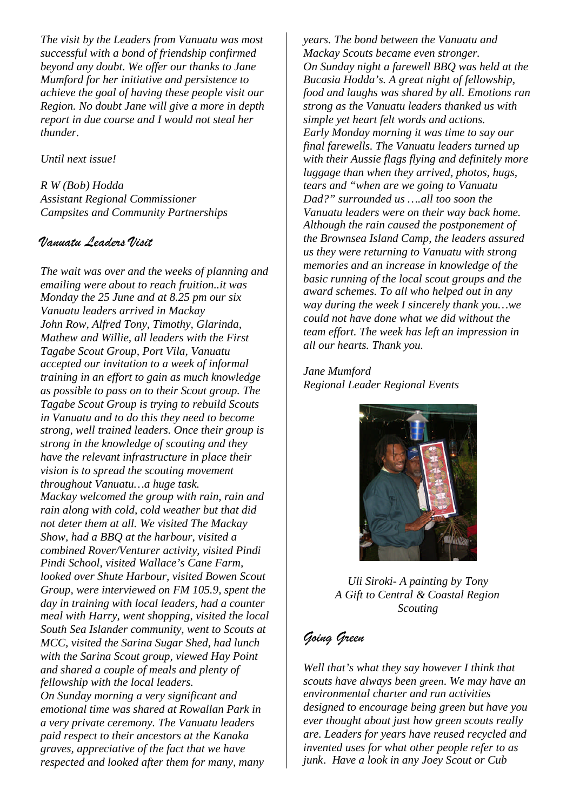*The visit by the Leaders from Vanuatu was most successful with a bond of friendship confirmed beyond any doubt. We offer our thanks to Jane Mumford for her initiative and persistence to achieve the goal of having these people visit our Region. No doubt Jane will give a more in depth report in due course and I would not steal her thunder.*

*Until next issue!*

*R W (Bob) Hodda Assistant Regional Commissioner Campsites and Community Partnerships*

### *Vanuatu Leaders Visit*

*The wait was over and the weeks of planning and emailing were about to reach fruition..it was Monday the 25 June and at 8.25 pm our six Vanuatu leaders arrived in Mackay John Row, Alfred Tony, Timothy, Glarinda, Mathew and Willie, all leaders with the First Tagabe Scout Group, Port Vila, Vanuatu accepted our invitation to a week of informal training in an effort to gain as much knowledge as possible to pass on to their Scout group. The Tagabe Scout Group is trying to rebuild Scouts in Vanuatu and to do this they need to become strong, well trained leaders. Once their group is strong in the knowledge of scouting and they have the relevant infrastructure in place their vision is to spread the scouting movement throughout Vanuatu…a huge task. Mackay welcomed the group with rain, rain and rain along with cold, cold weather but that did not deter them at all. We visited The Mackay Show, had a BBQ at the harbour, visited a combined Rover/Venturer activity, visited Pindi Pindi School, visited Wallace's Cane Farm, looked over Shute Harbour, visited Bowen Scout Group, were interviewed on FM 105.9, spent the day in training with local leaders, had a counter meal with Harry, went shopping, visited the local South Sea Islander community, went to Scouts at MCC, visited the Sarina Sugar Shed, had lunch with the Sarina Scout group, viewed Hay Point and shared a couple of meals and plenty of fellowship with the local leaders. On Sunday morning a very significant and emotional time was shared at Rowallan Park in a very private ceremony. The Vanuatu leaders paid respect to their ancestors at the Kanaka graves, appreciative of the fact that we have respected and looked after them for many, many*

*years. The bond between the Vanuatu and Mackay Scouts became even stronger. On Sunday night a farewell BBQ was held at the Bucasia Hodda's. A great night of fellowship, food and laughs was shared by all. Emotions ran strong as the Vanuatu leaders thanked us with simple yet heart felt words and actions. Early Monday morning it was time to say our final farewells. The Vanuatu leaders turned up with their Aussie flags flying and definitely more luggage than when they arrived, photos, hugs, tears and "when are we going to Vanuatu Dad?" surrounded us ….all too soon the Vanuatu leaders were on their way back home. Although the rain caused the postponement of the Brownsea Island Camp, the leaders assured us they were returning to Vanuatu with strong memories and an increase in knowledge of the basic running of the local scout groups and the award schemes. To all who helped out in any way during the week I sincerely thank you…we could not have done what we did without the team effort. The week has left an impression in all our hearts. Thank you.*

*Jane Mumford Regional Leader Regional Events*



*Uli Siroki- A painting by Tony A Gift to Central & Coastal Region Scouting*

## *Going Green*

*Well that's what they say however I think that scouts have always been green. We may have an environmental charter and run activities designed to encourage being green but have you ever thought about just how green scouts really are. Leaders for years have reused recycled and invented uses for what other people refer to as junk. Have a look in any Joey Scout or Cub*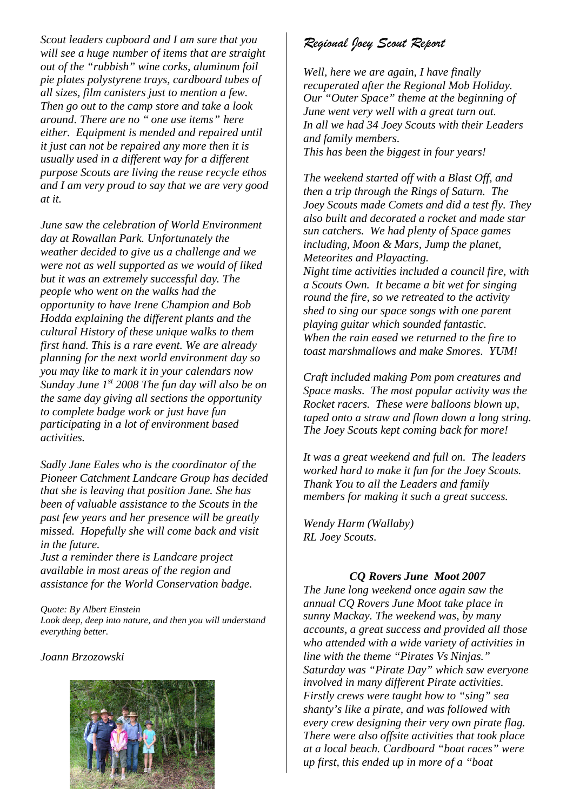*Scout leaders cupboard and I am sure that you will see a huge number of items that are straight out of the "rubbish" wine corks, aluminum foil pie plates polystyrene trays, cardboard tubes of all sizes, film canisters just to mention a few. Then go out to the camp store and take a look around. There are no " one use items" here either. Equipment is mended and repaired until it just can not be repaired any more then it is usually used in a different way for a different purpose Scouts are living the reuse recycle ethos and I am very proud to say that we are very good at it.*

*June saw the celebration of World Environment day at Rowallan Park. Unfortunately the weather decided to give us a challenge and we were not as well supported as we would of liked but it was an extremely successful day. The people who went on the walks had the opportunity to have Irene Champion and Bob Hodda explaining the different plants and the cultural History of these unique walks to them first hand. This is a rare event. We are already planning for the next world environment day so you may like to mark it in your calendars now Sunday June 1st 2008 The fun day will also be on the same day giving all sections the opportunity to complete badge work or just have fun participating in a lot of environment based activities.*

*Sadly Jane Eales who is the coordinator of the Pioneer Catchment Landcare Group has decided that she is leaving that position Jane. She has been of valuable assistance to the Scouts in the past few years and her presence will be greatly missed. Hopefully she will come back and visit in the future.*

*Just a reminder there is Landcare project available in most areas of the region and assistance for the World Conservation badge.*

*Quote: By Albert Einstein Look deep, deep into nature, and then you will understand everything better.*

*Joann Brzozowski*



## *Regional Joey Scout Report*

*Well, here we are again, I have finally recuperated after the Regional Mob Holiday. Our "Outer Space" theme at the beginning of June went very well with a great turn out. In all we had 34 Joey Scouts with their Leaders and family members. This has been the biggest in four years!*

*The weekend started off with a Blast Off, and then a trip through the Rings of Saturn. The Joey Scouts made Comets and did a test fly. They also built and decorated a rocket and made star sun catchers. We had plenty of Space games including, Moon & Mars, Jump the planet, Meteorites and Playacting. Night time activities included a council fire, with a Scouts Own. It became a bit wet for singing round the fire, so we retreated to the activity shed to sing our space songs with one parent playing guitar which sounded fantastic. When the rain eased we returned to the fire to toast marshmallows and make Smores. YUM!*

*Craft included making Pom pom creatures and Space masks. The most popular activity was the Rocket racers. These were balloons blown up, taped onto a straw and flown down a long string. The Joey Scouts kept coming back for more!*

*It was a great weekend and full on. The leaders worked hard to make it fun for the Joey Scouts. Thank You to all the Leaders and family members for making it such a great success.*

*Wendy Harm (Wallaby) RL Joey Scouts.*

### *CQ Rovers June Moot 2007*

*The June long weekend once again saw the annual CQ Rovers June Moot take place in sunny Mackay. The weekend was, by many accounts, a great success and provided all those who attended with a wide variety of activities in line with the theme "Pirates Vs Ninjas." Saturday was "Pirate Day" which saw everyone involved in many different Pirate activities. Firstly crews were taught how to "sing" sea shanty's like a pirate, and was followed with every crew designing their very own pirate flag. There were also offsite activities that took place at a local beach. Cardboard "boat races" were up first, this ended up in more of a "boat*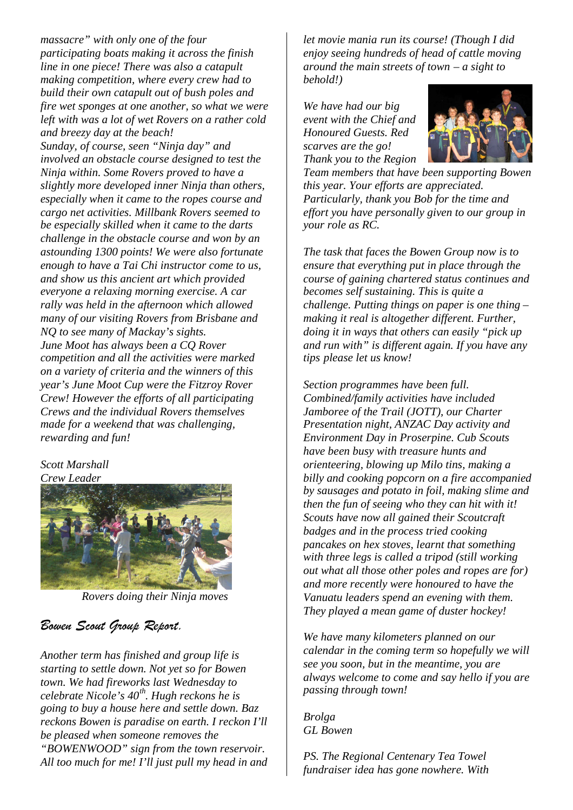*massacre" with only one of the four participating boats making it across the finish line in one piece! There was also a catapult making competition, where every crew had to build their own catapult out of bush poles and fire wet sponges at one another, so what we were left with was a lot of wet Rovers on a rather cold and breezy day at the beach! Sunday, of course, seen "Ninja day" and involved an obstacle course designed to test the Ninja within. Some Rovers proved to have a slightly more developed inner Ninja than others, especially when it came to the ropes course and cargo net activities. Millbank Rovers seemed to be especially skilled when it came to the darts challenge in the obstacle course and won by an astounding 1300 points! We were also fortunate enough to have a Tai Chi instructor come to us, and show us this ancient art which provided everyone a relaxing morning exercise. A car rally was held in the afternoon which allowed many of our visiting Rovers from Brisbane and NQ to see many of Mackay's sights. June Moot has always been a CQ Rover competition and all the activities were marked on a variety of criteria and the winners of this year's June Moot Cup were the Fitzroy Rover Crew! However the efforts of all participating Crews and the individual Rovers themselves made for a weekend that was challenging, rewarding and fun!*

#### *Scott Marshall Crew Leader*



*Rovers doing their Ninja moves*

## *Bowen Scout Group Report.*

*Another term has finished and group life is starting to settle down. Not yet so for Bowen town. We had fireworks last Wednesday to celebrate Nicole's 40th. Hugh reckons he is going to buy a house here and settle down. Baz reckons Bowen is paradise on earth. I reckon I'll be pleased when someone removes the "BOWENWOOD" sign from the town reservoir. All too much for me! I'll just pull my head in and* *let movie mania run its course! (Though I did enjoy seeing hundreds of head of cattle moving around the main streets of town – a sight to behold!)*

*We have had our big event with the Chief and Honoured Guests. Red scarves are the go! Thank you to the Region*



*Team members that have been supporting Bowen this year. Your efforts are appreciated. Particularly, thank you Bob for the time and effort you have personally given to our group in your role as RC.*

*The task that faces the Bowen Group now is to ensure that everything put in place through the course of gaining chartered status continues and becomes self sustaining. This is quite a challenge. Putting things on paper is one thing – making it real is altogether different. Further, doing it in ways that others can easily "pick up and run with" is different again. If you have any tips please let us know!*

*Section programmes have been full. Combined/family activities have included Jamboree of the Trail (JOTT), our Charter Presentation night, ANZAC Day activity and Environment Day in Proserpine. Cub Scouts have been busy with treasure hunts and orienteering, blowing up Milo tins, making a billy and cooking popcorn on a fire accompanied by sausages and potato in foil, making slime and then the fun of seeing who they can hit with it! Scouts have now all gained their Scoutcraft badges and in the process tried cooking pancakes on hex stoves, learnt that something with three legs is called a tripod (still working out what all those other poles and ropes are for) and more recently were honoured to have the Vanuatu leaders spend an evening with them. They played a mean game of duster hockey!*

*We have many kilometers planned on our calendar in the coming term so hopefully we will see you soon, but in the meantime, you are always welcome to come and say hello if you are passing through town!*

*Brolga GL Bowen*

*PS. The Regional Centenary Tea Towel fundraiser idea has gone nowhere. With*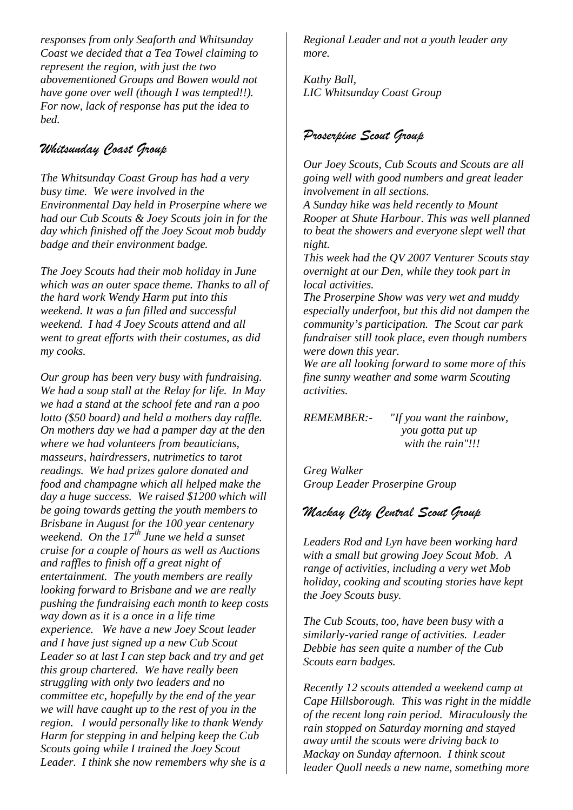*responses from only Seaforth and Whitsunday Coast we decided that a Tea Towel claiming to represent the region, with just the two abovementioned Groups and Bowen would not have gone over well (though I was tempted!!). For now, lack of response has put the idea to bed.*

## *Whitsunday Coast Group*

*The Whitsunday Coast Group has had a very busy time. We were involved in the Environmental Day held in Proserpine where we had our Cub Scouts & Joey Scouts join in for the day which finished off the Joey Scout mob buddy badge and their environment badge.*

*The Joey Scouts had their mob holiday in June which was an outer space theme. Thanks to all of the hard work Wendy Harm put into this weekend. It was a fun filled and successful weekend. I had 4 Joey Scouts attend and all went to great efforts with their costumes, as did my cooks.*

*Our group has been very busy with fundraising. We had a soup stall at the Relay for life. In May we had a stand at the school fete and ran a poo lotto (\$50 board) and held a mothers day raffle. On mothers day we had a pamper day at the den where we had volunteers from beauticians, masseurs, hairdressers, nutrimetics to tarot readings. We had prizes galore donated and food and champagne which all helped make the day a huge success. We raised \$1200 which will be going towards getting the youth members to Brisbane in August for the 100 year centenary weekend. On the 17th June we held a sunset cruise for a couple of hours as well as Auctions and raffles to finish off a great night of entertainment. The youth members are really looking forward to Brisbane and we are really pushing the fundraising each month to keep costs way down as it is a once in a life time experience. We have a new Joey Scout leader and I have just signed up a new Cub Scout Leader so at last I can step back and try and get this group chartered. We have really been struggling with only two leaders and no committee etc, hopefully by the end of the year we will have caught up to the rest of you in the region. I would personally like to thank Wendy Harm for stepping in and helping keep the Cub Scouts going while I trained the Joey Scout Leader. I think she now remembers why she is a*

*Regional Leader and not a youth leader any more.*

*Kathy Ball, LIC Whitsunday Coast Group*

## *Proserpine Scout Group*

*Our Joey Scouts, Cub Scouts and Scouts are all going well with good numbers and great leader involvement in all sections.*

*A Sunday hike was held recently to Mount Rooper at Shute Harbour. This was well planned to beat the showers and everyone slept well that night.*

*This week had the QV 2007 Venturer Scouts stay overnight at our Den, while they took part in local activities.*

*The Proserpine Show was very wet and muddy especially underfoot, but this did not dampen the community's participation. The Scout car park fundraiser still took place, even though numbers were down this year.*

*We are all looking forward to some more of this fine sunny weather and some warm Scouting activities.*

*REMEMBER:- "If you want the rainbow, you gotta put up with the rain"!!!*

*Greg Walker Group Leader Proserpine Group*

## *Mackay City Central Scout Group*

*Leaders Rod and Lyn have been working hard with a small but growing Joey Scout Mob. A range of activities, including a very wet Mob holiday, cooking and scouting stories have kept the Joey Scouts busy.*

*The Cub Scouts, too, have been busy with a similarly-varied range of activities. Leader Debbie has seen quite a number of the Cub Scouts earn badges.*

*Recently 12 scouts attended a weekend camp at Cape Hillsborough. This was right in the middle of the recent long rain period. Miraculously the rain stopped on Saturday morning and stayed away until the scouts were driving back to Mackay on Sunday afternoon. I think scout leader Quoll needs a new name, something more*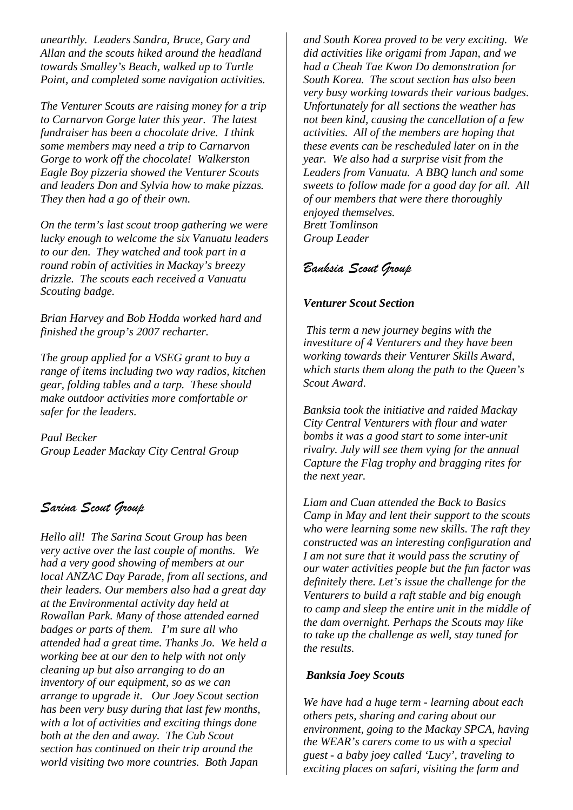*unearthly. Leaders Sandra, Bruce, Gary and Allan and the scouts hiked around the headland towards Smalley's Beach, walked up to Turtle Point, and completed some navigation activities.*

*The Venturer Scouts are raising money for a trip to Carnarvon Gorge later this year. The latest fundraiser has been a chocolate drive. I think some members may need a trip to Carnarvon Gorge to work off the chocolate! Walkerston Eagle Boy pizzeria showed the Venturer Scouts and leaders Don and Sylvia how to make pizzas. They then had a go of their own.*

*On the term's last scout troop gathering we were lucky enough to welcome the six Vanuatu leaders to our den. They watched and took part in a round robin of activities in Mackay's breezy drizzle. The scouts each received a Vanuatu Scouting badge.*

*Brian Harvey and Bob Hodda worked hard and finished the group's 2007 recharter.*

*The group applied for a VSEG grant to buy a range of items including two way radios, kitchen gear, folding tables and a tarp. These should make outdoor activities more comfortable or safer for the leaders.*

*Paul Becker Group Leader Mackay City Central Group*

### *Sarina Scout Group*

*Hello all! The Sarina Scout Group has been very active over the last couple of months. We had a very good showing of members at our local ANZAC Day Parade, from all sections, and their leaders. Our members also had a great day at the Environmental activity day held at Rowallan Park. Many of those attended earned badges or parts of them. I'm sure all who attended had a great time. Thanks Jo. We held a working bee at our den to help with not only cleaning up but also arranging to do an inventory of our equipment, so as we can arrange to upgrade it. Our Joey Scout section has been very busy during that last few months, with a lot of activities and exciting things done both at the den and away. The Cub Scout section has continued on their trip around the world visiting two more countries. Both Japan*

*and South Korea proved to be very exciting. We did activities like origami from Japan, and we had a Cheah Tae Kwon Do demonstration for South Korea. The scout section has also been very busy working towards their various badges. Unfortunately for all sections the weather has not been kind, causing the cancellation of a few activities. All of the members are hoping that these events can be rescheduled later on in the year. We also had a surprise visit from the Leaders from Vanuatu. A BBQ lunch and some sweets to follow made for a good day for all. All of our members that were there thoroughly enjoyed themselves. Brett Tomlinson Group Leader*

## *Banksia Scout Group*

#### *Venturer Scout Section*

*This term a new journey begins with the investiture of 4 Venturers and they have been working towards their Venturer Skills Award, which starts them along the path to the Queen's Scout Award*.

*Banksia took the initiative and raided Mackay City Central Venturers with flour and water bombs it was a good start to some inter-unit rivalry. July will see them vying for the annual Capture the Flag trophy and bragging rites for the next year.*

*Liam and Cuan attended the Back to Basics Camp in May and lent their support to the scouts who were learning some new skills. The raft they constructed was an interesting configuration and I am not sure that it would pass the scrutiny of our water activities people but the fun factor was definitely there. Let's issue the challenge for the Venturers to build a raft stable and big enough to camp and sleep the entire unit in the middle of the dam overnight. Perhaps the Scouts may like to take up the challenge as well, stay tuned for the results.*

#### *Banksia Joey Scouts*

*We have had a huge term - learning about each others pets, sharing and caring about our environment, going to the Mackay SPCA, having the WEAR's carers come to us with a special guest - a baby joey called 'Lucy', traveling to exciting places on safari, visiting the farm and*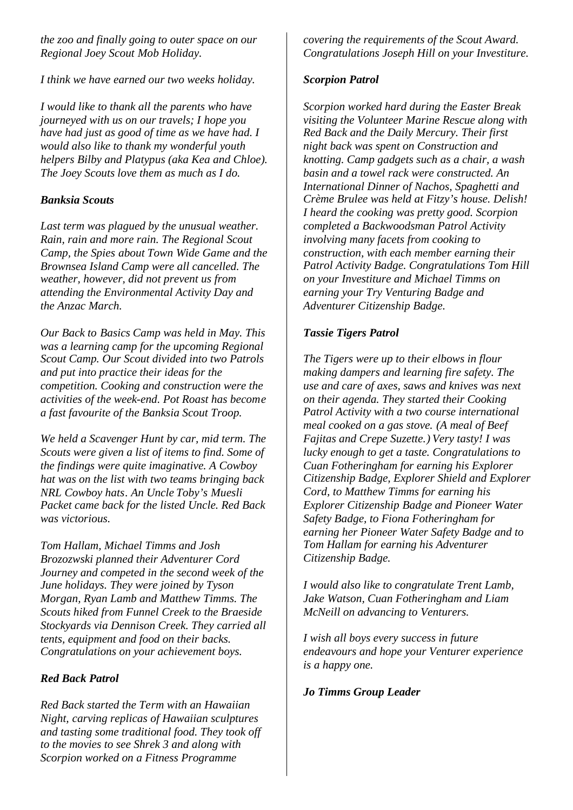*the zoo and finally going to outer space on our Regional Joey Scout Mob Holiday.*

*I think we have earned our two weeks holiday.*

*I would like to thank all the parents who have journeyed with us on our travels; I hope you have had just as good of time as we have had. I would also like to thank my wonderful youth helpers Bilby and Platypus (aka Kea and Chloe). The Joey Scouts love them as much as I do.*

#### *Banksia Scouts*

*Last term was plagued by the unusual weather. Rain, rain and more rain. The Regional Scout Camp, the Spies about Town Wide Game and the Brownsea Island Camp were all cancelled. The weather, however, did not prevent us from attending the Environmental Activity Day and the Anzac March.*

*Our Back to Basics Camp was held in May. This was a learning camp for the upcoming Regional Scout Camp. Our Scout divided into two Patrols and put into practice their ideas for the competition. Cooking and construction were the activities of the week-end. Pot Roast has become a fast favourite of the Banksia Scout Troop.*

*We held a Scavenger Hunt by car, mid term. The Scouts were given a list of items to find. Some of the findings were quite imaginative. A Cowboy hat was on the list with two teams bringing back NRL Cowboy hats. An Uncle Toby's Muesli Packet came back for the listed Uncle. Red Back was victorious.*

*Tom Hallam, Michael Timms and Josh Brozozwski planned their Adventurer Cord Journey and competed in the second week of the June holidays. They were joined by Tyson Morgan, Ryan Lamb and Matthew Timms. The Scouts hiked from Funnel Creek to the Braeside Stockyards via Dennison Creek. They carried all tents, equipment and food on their backs. Congratulations on your achievement boys.*

### *Red Back Patrol*

*Red Back started the Term with an Hawaiian Night, carving replicas of Hawaiian sculptures and tasting some traditional food. They took off to the movies to see Shrek 3 and along with Scorpion worked on a Fitness Programme*

*covering the requirements of the Scout Award. Congratulations Joseph Hill on your Investiture.*

#### *Scorpion Patrol*

*Scorpion worked hard during the Easter Break visiting the Volunteer Marine Rescue along with Red Back and the Daily Mercury. Their first night back was spent on Construction and knotting. Camp gadgets such as a chair, a wash basin and a towel rack were constructed. An International Dinner of Nachos, Spaghetti and Crème Brulee was held at Fitzy's house. Delish! I heard the cooking was pretty good. Scorpion completed a Backwoodsman Patrol Activity involving many facets from cooking to construction, with each member earning their Patrol Activity Badge. Congratulations Tom Hill on your Investiture and Michael Timms on earning your Try Venturing Badge and Adventurer Citizenship Badge.*

#### *Tassie Tigers Patrol*

*The Tigers were up to their elbows in flour making dampers and learning fire safety. The use and care of axes, saws and knives was next on their agenda. They started their Cooking Patrol Activity with a two course international meal cooked on a gas stove. (A meal of Beef Fajitas and Crepe Suzette.) Very tasty! I was lucky enough to get a taste. Congratulations to Cuan Fotheringham for earning his Explorer Citizenship Badge, Explorer Shield and Explorer Cord, to Matthew Timms for earning his Explorer Citizenship Badge and Pioneer Water Safety Badge, to Fiona Fotheringham for earning her Pioneer Water Safety Badge and to Tom Hallam for earning his Adventurer Citizenship Badge.*

*I would also like to congratulate Trent Lamb, Jake Watson, Cuan Fotheringham and Liam McNeill on advancing to Venturers.*

*I wish all boys every success in future endeavours and hope your Venturer experience is a happy one.*

*Jo Timms Group Leader*